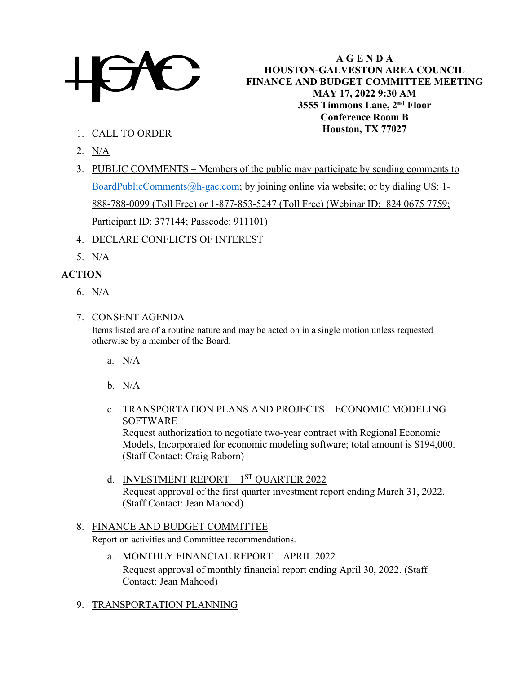

**A G E N D A HOUSTON-GALVESTON AREA COUNCIL FINANCE AND BUDGET COMMITTEE MEETING MAY 17, 2022 9:30 AM 3555 Timmons Lane, 2nd Floor Conference Room B Houston, TX 77027**

- 1. CALL TO ORDER
- 2. N/A
- 3. PUBLIC COMMENTS Members of the public may participate by sending comments to [BoardPublicComments@h-gac.com;](mailto:BoardPublicComments@h-gac.com) by joining online via website; or by dialing US: 1- 888-788-0099 (Toll Free) or 1-877-853-5247 (Toll Free) (Webinar ID: 824 0675 7759; Participant ID: 377144; Passcode: 911101)
- 4. DECLARE CONFLICTS OF INTEREST
- 5. N/A

# **ACTION**

6.  $N/A$ 

#### 7. CONSENT AGENDA

Items listed are of a routine nature and may be acted on in a single motion unless requested otherwise by a member of the Board.

- a. N/A
- b. N/A
- c. TRANSPORTATION PLANS AND PROJECTS ECONOMIC MODELING SOFTWARE

Request authorization to negotiate two-year contract with Regional Economic Models, Incorporated for economic modeling software; total amount is \$194,000. (Staff Contact: Craig Raborn)

d. INVESTMENT REPORT – 1<sup>ST</sup> QUARTER 2022 Request approval of the first quarter investment report ending March 31, 2022. (Staff Contact: Jean Mahood)

# 8. FINANCE AND BUDGET COMMITTEE

Report on activities and Committee recommendations.

- a. MONTHLY FINANCIAL REPORT APRIL 2022 Request approval of monthly financial report ending April 30, 2022. (Staff Contact: Jean Mahood)
- 9. TRANSPORTATION PLANNING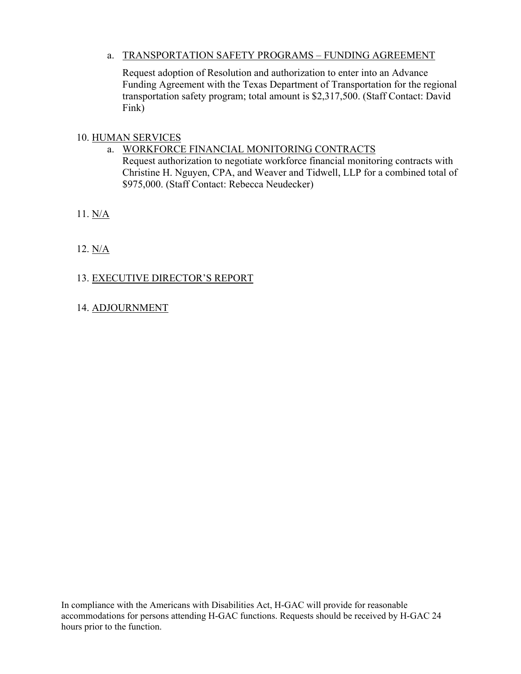# a. TRANSPORTATION SAFETY PROGRAMS – FUNDING AGREEMENT

Request adoption of Resolution and authorization to enter into an Advance Funding Agreement with the Texas Department of Transportation for the regional transportation safety program; total amount is \$2,317,500. (Staff Contact: David Fink)

# 10. HUMAN SERVICES

a. WORKFORCE FINANCIAL MONITORING CONTRACTS Request authorization to negotiate workforce financial monitoring contracts with Christine H. Nguyen, CPA, and Weaver and Tidwell, LLP for a combined total of \$975,000. (Staff Contact: Rebecca Neudecker)

11. N/A

12. N/A

# 13. EXECUTIVE DIRECTOR'S REPORT

14. ADJOURNMENT

In compliance with the Americans with Disabilities Act, H-GAC will provide for reasonable accommodations for persons attending H-GAC functions. Requests should be received by H-GAC 24 hours prior to the function.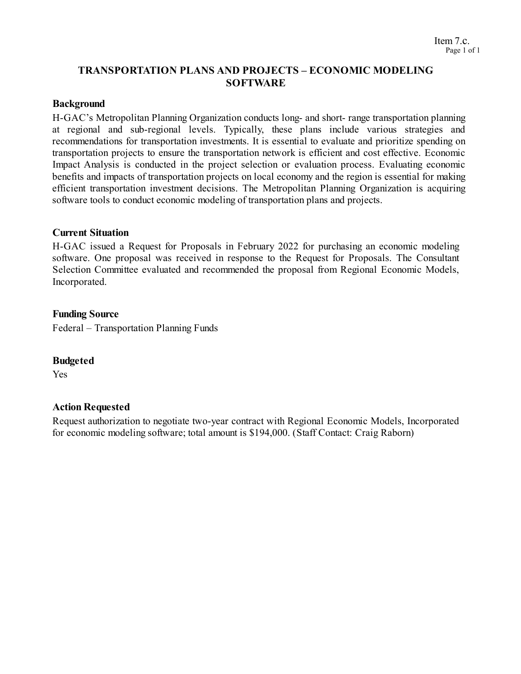# **TRANSPORTATION PLANS AND PROJECTS – ECONOMIC MODELING SOFTWARE**

#### **Background**

H-GAC's Metropolitan Planning Organization conducts long- and short- range transportation planning at regional and sub-regional levels. Typically, these plans include various strategies and recommendations for transportation investments. It is essential to evaluate and prioritize spending on transportation projects to ensure the transportation network is efficient and cost effective. Economic Impact Analysis is conducted in the project selection or evaluation process. Evaluating economic benefits and impacts of transportation projects on local economy and the region is essential for making efficient transportation investment decisions. The Metropolitan Planning Organization is acquiring software tools to conduct economic modeling of transportation plans and projects.

#### **Current Situation**

H-GAC issued a Request for Proposals in February 2022 for purchasing an economic modeling software. One proposal was received in response to the Request for Proposals. The Consultant Selection Committee evaluated and recommended the proposal from Regional Economic Models, Incorporated.

#### **Funding Source**

Federal – Transportation Planning Funds

#### **Budgeted**

Yes

#### **Action Requested**

Request authorization to negotiate two-year contract with Regional Economic Models, Incorporated for economic modeling software; total amount is \$194,000. (Staff Contact: Craig Raborn)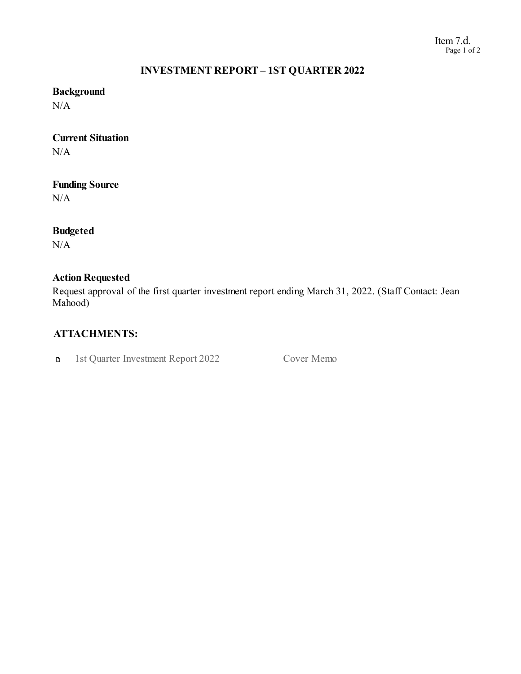#### Item 7.d. Page 1 of 2

#### **INVESTMENT REPORT – 1ST QUARTER 2022**

# **Background**

 $N/A$ 

# **Current Situation**

 $N/A$ 

# **Funding Source**

N/A

# **Budgeted**

 $N/A$ 

# **Action Requested**

Request approval of the first quarter investment report ending March 31, 2022. (Staff Contact: Jean Mahood)

# **ATTACHMENTS:**

1st Quarter Investment Report 2022 Cover Memo  $\mathbf{D}$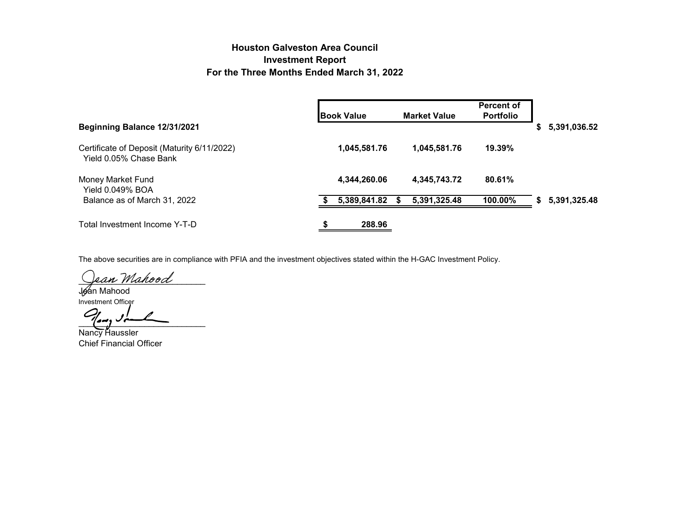# **Houston Galveston Area Council Investment Report For the Three Months Ended March 31, 2022**

|                                                                       | <b>Book Value</b> | <b>Market Value</b> | <b>Percent of</b><br><b>Portfolio</b> |                    |
|-----------------------------------------------------------------------|-------------------|---------------------|---------------------------------------|--------------------|
| Beginning Balance 12/31/2021                                          |                   |                     |                                       | 5,391,036.52<br>S. |
| Certificate of Deposit (Maturity 6/11/2022)<br>Yield 0.05% Chase Bank | 1,045,581.76      | 1,045,581.76        | 19.39%                                |                    |
| Money Market Fund<br><b>Yield 0.049% BOA</b>                          | 4,344,260.06      | 4,345,743.72        | 80.61%                                |                    |
| Balance as of March 31, 2022                                          | 5,389,841.82      | 5,391,325.48<br>S.  | 100.00%                               | 5,391,325.48<br>S. |
| Total Investment Income Y-T-D                                         | 288.96            |                     |                                       |                    |

The above securities are in compliance with PFIA and the investment objectives stated within the H-GAC Investment Policy.

ean Mahood

Jean Mahood

Investment Officer  $\frac{1}{2}$ 

Nancy Haussler Chief Financial Officer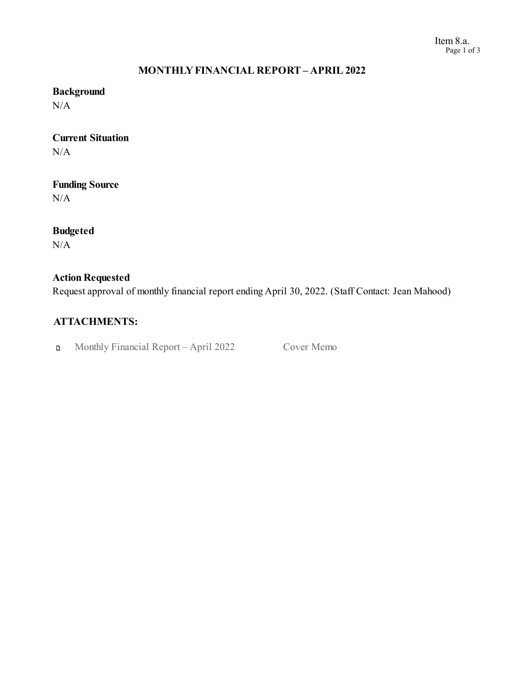#### Item 8.a. Page 1 of 3

# **MONTHLYFINANCIAL REPORT – APRIL 2022**

# **Background**

 $N/A$ 

## **Current Situation** N/A

# **Funding Source**

N/A

# **Budgeted**

 $N/A$ 

# **Action Requested**

Request approval of monthly financial report endingApril 30, 2022. (Staff Contact: Jean Mahood)

# **ATTACHMENTS:**

Monthly Financial Report – April 2022 Cover Memo  $\mathbf{D}$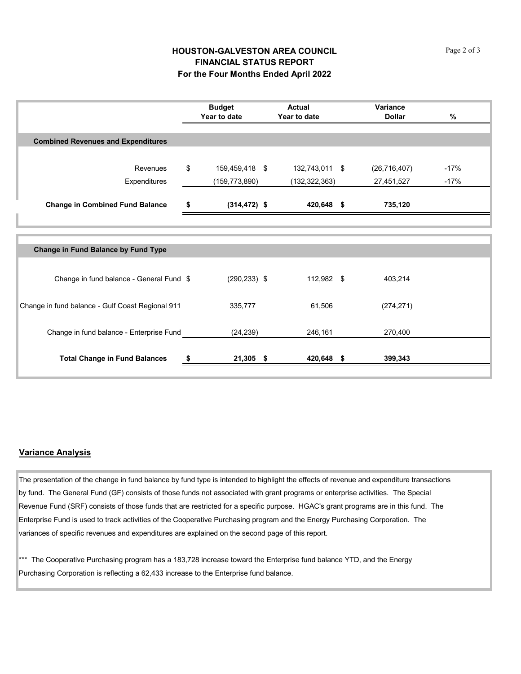#### **HOUSTON-GALVESTON AREA COUNCIL FINANCIAL STATUS REPORT For the Four Months Ended April 2022**

|                                                  | <b>Budget</b><br>Year to date |                 | <b>Actual</b><br>Year to date |  | Variance<br><b>Dollar</b> | %      |
|--------------------------------------------------|-------------------------------|-----------------|-------------------------------|--|---------------------------|--------|
|                                                  |                               |                 |                               |  |                           |        |
| <b>Combined Revenues and Expenditures</b>        |                               |                 |                               |  |                           |        |
|                                                  |                               |                 |                               |  |                           |        |
| Revenues                                         | \$                            | 159,459,418 \$  | 132,743,011 \$                |  | (26, 716, 407)            | $-17%$ |
| Expenditures                                     |                               | (159, 773, 890) | (132, 322, 363)               |  | 27,451,527                | $-17%$ |
|                                                  |                               |                 |                               |  |                           |        |
| <b>Change in Combined Fund Balance</b>           | \$                            | $(314, 472)$ \$ | 420,648 \$                    |  | 735,120                   |        |
|                                                  |                               |                 |                               |  |                           |        |
|                                                  |                               |                 |                               |  |                           |        |
| <b>Change in Fund Balance by Fund Type</b>       |                               |                 |                               |  |                           |        |
|                                                  |                               |                 |                               |  |                           |        |
| Change in fund balance - General Fund \$         |                               | $(290, 233)$ \$ | 112,982 \$                    |  | 403,214                   |        |
|                                                  |                               |                 |                               |  |                           |        |
| Change in fund balance - Gulf Coast Regional 911 |                               | 335,777         | 61,506                        |  | (274, 271)                |        |
|                                                  |                               |                 |                               |  |                           |        |
| Change in fund balance - Enterprise Fund         |                               | (24, 239)       | 246,161                       |  | 270,400                   |        |
|                                                  |                               |                 |                               |  |                           |        |
| <b>Total Change in Fund Balances</b>             |                               | $21,305$ \$     | 420,648 \$                    |  | 399,343                   |        |
|                                                  |                               |                 |                               |  |                           |        |

#### **Variance Analysis**

The presentation of the change in fund balance by fund type is intended to highlight the effects of revenue and expenditure transactions by fund. The General Fund (GF) consists of those funds not associated with grant programs or enterprise activities. The Special Revenue Fund (SRF) consists of those funds that are restricted for a specific purpose. HGAC's grant programs are in this fund. The Enterprise Fund is used to track activities of the Cooperative Purchasing program and the Energy Purchasing Corporation. The variances of specific revenues and expenditures are explained on the second page of this report.

\*\*\* The Cooperative Purchasing program has a 183,728 increase toward the Enterprise fund balance YTD, and the Energy Purchasing Corporation is reflecting a 62,433 increase to the Enterprise fund balance.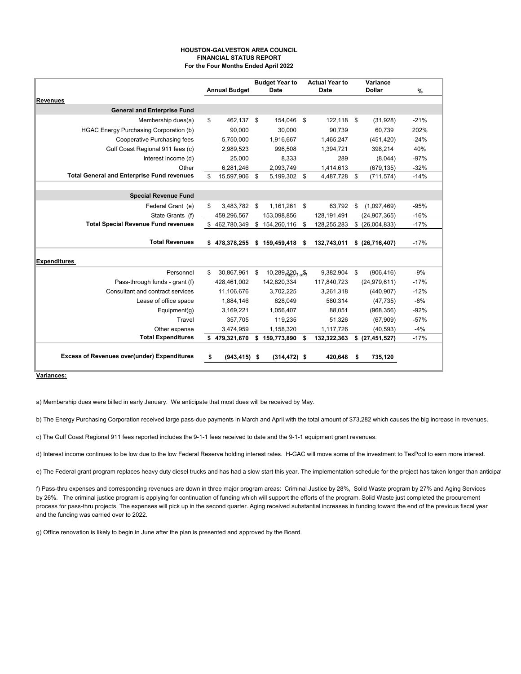|                                                    |                | <b>Annual Budget</b> | <b>Budget Year to</b><br><b>Date</b> |                            | <b>Actual Year to</b><br><b>Date</b> |                         | <b>Variance</b><br><b>Dollar</b> | $\frac{0}{0}$ |
|----------------------------------------------------|----------------|----------------------|--------------------------------------|----------------------------|--------------------------------------|-------------------------|----------------------------------|---------------|
| <b>Revenues</b>                                    |                |                      |                                      |                            |                                      |                         |                                  |               |
| <b>General and Enterprise Fund</b>                 |                |                      |                                      |                            |                                      |                         |                                  |               |
| Membership dues(a)                                 | \$             | 462,137              | \$<br>154,046                        | $\boldsymbol{\mathsf{\$}}$ | 122,118                              | $\sqrt[6]{\frac{1}{2}}$ | (31, 928)                        | $-21%$        |
| <b>HGAC Energy Purchasing Corporation (b)</b>      |                | 90,000               | 30,000                               |                            | 90,739                               |                         | 60,739                           | 202%          |
| <b>Cooperative Purchasing fees</b>                 |                | 5,750,000            | 1,916,667                            |                            | 1,465,247                            |                         | (451, 420)                       | $-24%$        |
| Gulf Coast Regional 911 fees (c)                   |                | 2,989,523            | 996,508                              |                            | 1,394,721                            |                         | 398,214                          | 40%           |
| Interest Income (d)                                |                | 25,000               | 8,333                                |                            | 289                                  |                         | (8,044)                          | $-97%$        |
| Other                                              |                | 6,281,246            | 2,093,749                            |                            | 1,414,613                            |                         | (679, 135)                       | $-32%$        |
| <b>Total General and Enterprise Fund revenues</b>  | $\mathfrak{P}$ | 15,597,906           | \$<br>5,199,302                      | \$                         | 4,487,728                            | \$                      | (711, 574)                       | $-14%$        |
|                                                    |                |                      |                                      |                            |                                      |                         |                                  |               |
| <b>Special Revenue Fund</b>                        |                |                      |                                      |                            |                                      |                         |                                  |               |
| Federal Grant (e)                                  | \$             | 3,483,782            | \$<br>1,161,261                      | \$                         | 63,792                               | \$                      | (1,097,469)                      | $-95%$        |
| State Grants (f)                                   |                | 459,296,567          | 153,098,856                          |                            | 128,191,491                          |                         | (24, 907, 365)                   | $-16%$        |
| <b>Total Special Revenue Fund revenues</b>         | \$             | 462,780,349          | \$<br>154,260,116                    | \$                         | 128,255,283                          |                         | \$ (26,004,833)                  | $-17%$        |
|                                                    |                |                      |                                      |                            |                                      |                         |                                  |               |
| <b>Total Revenues</b>                              |                | \$478,378,255        | \$159,459,418                        | -\$                        | 132,743,011                          |                         | \$ (26,716,407)                  | $-17%$        |
| <b>Expenditures</b>                                |                |                      |                                      |                            |                                      |                         |                                  |               |
| Personnel                                          | \$             | 30,867,961           | \$<br>10,289 $_{1}320_{3}$ $_{0}8$   |                            | 9,382,904                            | \$                      | (906, 416)                       | $-9%$         |
| Pass-through funds - grant (f)                     |                | 428,461,002          | 142,820,334                          |                            | 117,840,723                          |                         | (24, 979, 611)                   | $-17%$        |
| <b>Consultant and contract services</b>            |                | 11,106,676           | 3,702,225                            |                            | 3,261,318                            |                         | (440, 907)                       | $-12%$        |
| Lease of office space                              |                | 1,884,146            | 628,049                              |                            | 580,314                              |                         | (47, 735)                        | $-8%$         |
| Equipment(g)                                       |                | 3,169,221            | 1,056,407                            |                            | 88,051                               |                         | (968, 356)                       | $-92%$        |
| Travel                                             |                | 357,705              | 119,235                              |                            | 51,326                               |                         | (67, 909)                        | $-57%$        |
| Other expense                                      |                | 3,474,959            | 1,158,320                            |                            | 1,117,726                            |                         | (40, 593)                        | $-4%$         |
| <b>Total Expenditures</b>                          |                |                      | $$479,321,670$ $$159,773,890$ \$     |                            | 132,322,363                          |                         | \$ (27,451,527)                  | $-17%$        |
| <b>Excess of Revenues over(under) Expenditures</b> | \$             | $(943, 415)$ \$      | $(314, 472)$ \$                      |                            | 420,648 \$                           |                         | 735,120                          |               |

**Variances:**

a) Membership dues were billed in early January. We anticipate that most dues will be received by May.

b) The Energy Purchasing Corporation received large pass-due payments in March and April with the total amount of \$73,282 which causes the big increase in revenues.

c) The Gulf Coast Regional 911 fees reported includes the 9-1-1 fees received to date and the 9-1-1 equipment grant revenues.

d) Interest income continues to be low due to the low Federal Reserve holding interest rates. H-GAC will move some of the investment to TexPool to earn more interest.

e) The Federal grant program replaces heavy duty diesel trucks and has had a slow start this year. The implementation schedule for the project has taken longer than anticipat

f) Pass-thru expenses and corresponding revenues are down in three major program areas: Criminal Justice by 28%, Solid Waste program by 27% and Aging Services by 26%. The criminal justice program is applying for continuation of funding which will support the efforts of the program. Solid Waste just completed the procurement process for pass-thru projects. The expenses will pick up in the second quarter. Aging received substantial increases in funding toward the end of the previous fiscal year and the funding was carried over to 2022.

g) Office renovation is likely to begin in June after the plan is presented and approved by the Board.

#### **HOUSTON-GALVESTON AREA COUNCIL FINANCIAL STATUS REPORT For the Four Months Ended April 2022**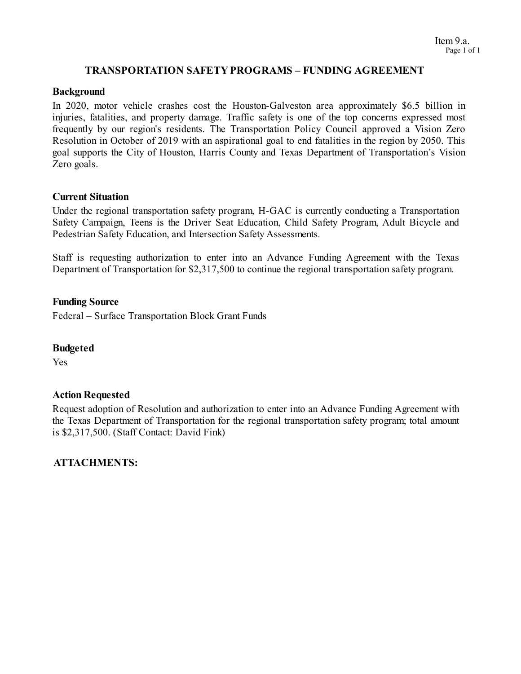#### **TRANSPORTATION SAFETY PROGRAMS – FUNDING AGREEMENT**

#### **Background**

In 2020, motor vehicle crashes cost the Houston-Galveston area approximately \$6.5 billion in injuries, fatalities, and property damage. Traffic safety is one of the top concerns expressed most frequently by our region's residents. The Transportation Policy Council approved a Vision Zero Resolution in October of 2019 with an aspirational goal to end fatalities in the region by 2050. This goal supports the City of Houston, Harris County and Texas Department of Transportation's Vision Zero goals.

#### **Current Situation**

Under the regional transportation safety program, H-GAC is currently conducting a Transportation Safety Campaign, Teens is the Driver Seat Education, Child Safety Program, Adult Bicycle and Pedestrian Safety Education, and Intersection Safety Assessments.

Staff is requesting authorization to enter into an Advance Funding Agreement with the Texas Department of Transportation for \$2,317,500 to continue the regional transportation safety program.

#### **Funding Source**

Federal – Surface Transportation Block Grant Funds

#### **Budgeted**

Yes

#### **Action Requested**

Request adoption of Resolution and authorization to enter into an Advance Funding Agreement with the Texas Department of Transportation for the regional transportation safety program; total amount is \$2,317,500. (Staff Contact: David Fink)

# **ATTACHMENTS:**